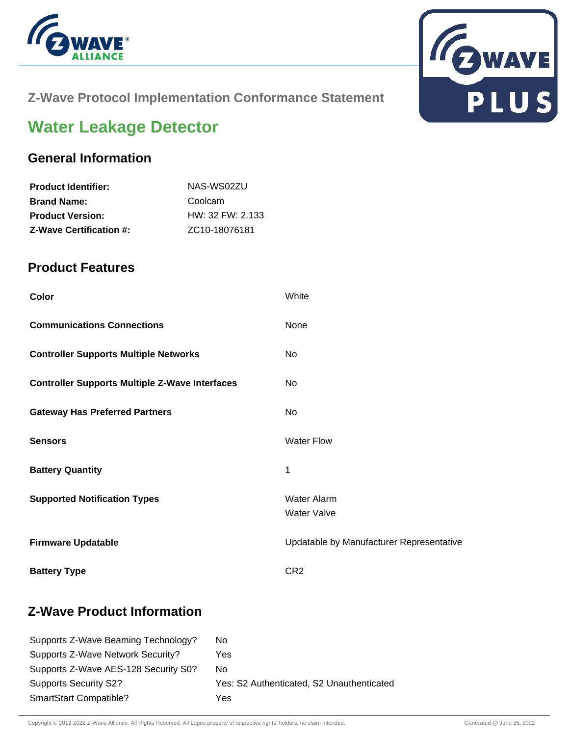



### **Z-Wave Protocol Implementation Conformance Statement**

# **Water Leakage Detector**

#### **General Information**

| NAS-WS02ZU                 |
|----------------------------|
| Coolcam                    |
| $HW: 32$ FW: 2.133         |
| ZC <sub>10</sub> -18076181 |
|                            |

#### **Product Features**

| Color                                                 | White                                    |
|-------------------------------------------------------|------------------------------------------|
| <b>Communications Connections</b>                     | None                                     |
| <b>Controller Supports Multiple Networks</b>          | No                                       |
| <b>Controller Supports Multiple Z-Wave Interfaces</b> | No                                       |
| <b>Gateway Has Preferred Partners</b>                 | <b>No</b>                                |
| <b>Sensors</b>                                        | <b>Water Flow</b>                        |
| <b>Battery Quantity</b>                               | 1                                        |
| <b>Supported Notification Types</b>                   | <b>Water Alarm</b><br><b>Water Valve</b> |
| <b>Firmware Updatable</b>                             | Updatable by Manufacturer Representative |
| <b>Battery Type</b>                                   | CR <sub>2</sub>                          |

### **Z-Wave Product Information**

| Supports Z-Wave Beaming Technology?  | No.                                       |
|--------------------------------------|-------------------------------------------|
| Supports Z-Wave Network Security?    | Yes                                       |
| Supports Z-Wave AES-128 Security S0? | No.                                       |
| <b>Supports Security S2?</b>         | Yes: S2 Authenticated, S2 Unauthenticated |
| <b>SmartStart Compatible?</b>        | Yes                                       |